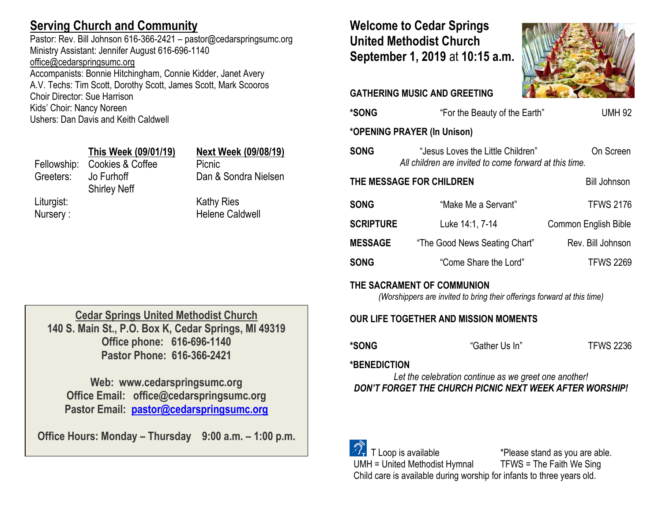# **Serving Church and Community**

Pastor: Rev. Bill Johnson 616-366-2421 – pastor@cedarspringsumc.org Ministry Assistant: Jennifer August 616-696-1140 [office@cedarspringsumc.org](mailto:office@cedarspringsumc.org) Accompanists: Bonnie Hitchingham, Connie Kidder, Janet Avery

A.V. Techs: Tim Scott, Dorothy Scott, James Scott, Mark Scooros Choir Director: Sue Harrison Kids' Choir: Nancy Noreen Ushers: Dan Davis and Keith Caldwell

## **This Week (09/01/19) Next Week (09/08/19)**

Fellowship: Cookies & Coffee Picnic Greeters: Jo Furhoff Shirley Neff Liturgist: Kathy Ries Nursery : **Helene Caldwell** 

Dan & Sondra Nielsen

# **Welcome to Cedar Springs United Methodist Church September 1, 2019** at **10:15 a.m.**

**GATHERING MUSIC AND GREETING** 



| *SONG                                           | <b>UMH 92</b><br>"For the Beauty of the Earth"                                                           |                             |  |  |
|-------------------------------------------------|----------------------------------------------------------------------------------------------------------|-----------------------------|--|--|
| *OPENING PRAYER (In Unison)                     |                                                                                                          |                             |  |  |
| <b>SONG</b>                                     | On Screen<br>"Jesus Loves the Little Children"<br>All children are invited to come forward at this time. |                             |  |  |
| THE MESSAGE FOR CHILDREN<br><b>Bill Johnson</b> |                                                                                                          |                             |  |  |
| <b>SONG</b>                                     | "Make Me a Servant"                                                                                      | <b>TFWS 2176</b>            |  |  |
| <b>SCRIPTURE</b>                                | Luke 14:1, 7-14                                                                                          | <b>Common English Bible</b> |  |  |
| <b>MESSAGE</b>                                  | "The Good News Seating Chart"                                                                            | Rev. Bill Johnson           |  |  |
| <b>SONG</b>                                     | "Come Share the Lord"                                                                                    | <b>TFWS 2269</b>            |  |  |
| THE SACRAMENT OF COMMUNION                      |                                                                                                          |                             |  |  |

### **SACRAMENT OF COMMUNION**

*(Worshippers are invited to bring their offerings forward at this time)*

## **OUR LIFE TOGETHER AND MISSION MOMENTS**

**\*SONG** "Gather Us In" TFWS 2236

## **\*BENEDICTION**

*Let the celebration continue as we greet one another! DON'T FORGET THE CHURCH PICNIC NEXT WEEK AFTER WORSHIP!*

 $\mathcal{D}_{\mathbf{r}}$  T Loop is available  $\mathbf{r}$  \*Please stand as you are able. UMH = United Methodist Hymnal TFWS = The Faith We Sing Child care is available during worship for infants to three years old.

**Cedar Springs United Methodist Church 140 S. Main St., P.O. Box K, Cedar Springs, MI 49319 Office phone: 616-696-1140 Pastor Phone: 616-366-2421**

**Web: www.cedarspringsumc.org Office Email: office@cedarspringsumc.org Pastor Email: [pastor@cedarspringsumc.org](mailto:pastor@cedarspringsumc.org)**

**Office Hours: Monday – Thursday 9:00 a.m. – 1:00 p.m.**